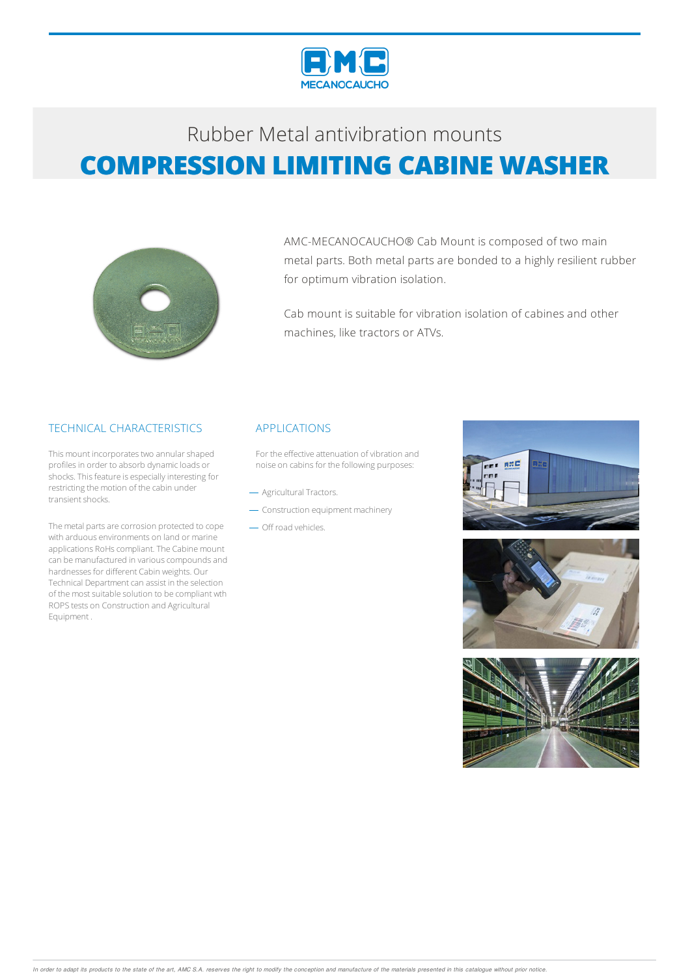

# Rubber Metalantivibration mounts **COMPRESSION LIMITING CABINE WASHER**



AMC-MECANOCAUCHO® Cab Mount is composed of two main metal parts. Both metal parts are bonded to a highly resilient rubber for optimum vibration isolation.

Cab mount is suitable for vibration isolation of cabines and other machines, like tractors or ATVs.

### TECHNICAL CHARACTERISTICS

This mount incorporates two annular shaped profiles in order to absorb dynamic loads or shocks. This feature is especially interesting for restricting the motion of the cabin under transient shocks.

The metal parts are corrosion protected to cope with arduous environments on land or marine applications RoHs compliant. The Cabine mount can be manufactured in various compounds and hardnesses for different Cabin weights. Our Technical Department can assist in the selection of the most suitable solution to be compliant wth ROPStests on Construction and Agricultural Equipment .

#### APPLICATIONS

For the effective attenuation of vibration and noise on cabins for the following purposes:

- Agricultural Tractors.
- Construction equipment machinery
- Off road vehicles.





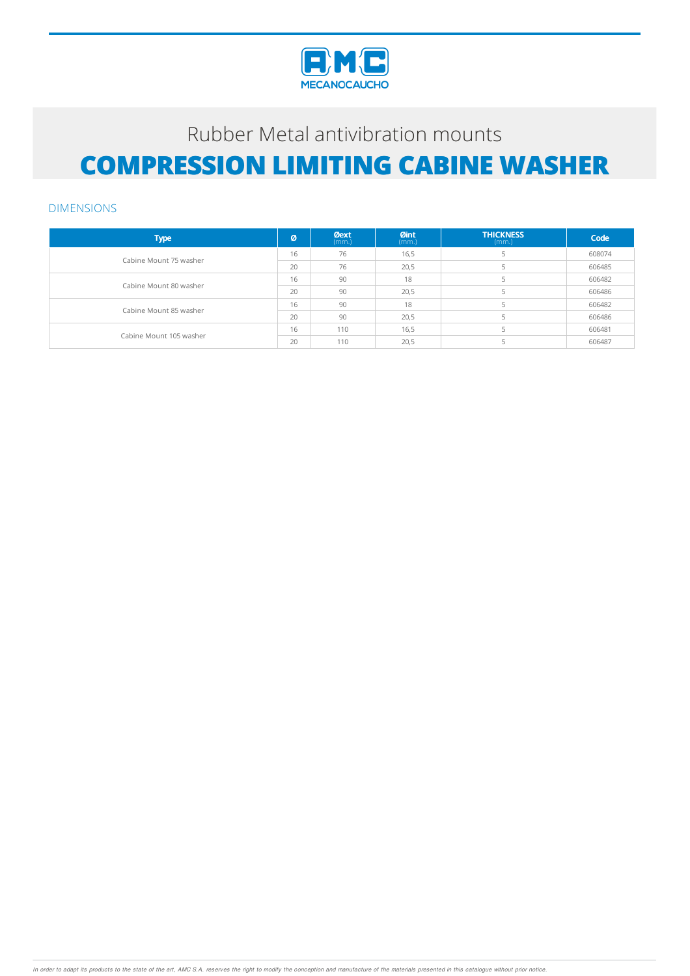

# Rubber Metal antivibration mounts **COMPRESSION LIMITING CABINE WASHER**

#### DIMENSIONS

| <b>Type</b>             | Ø  | <b>Øext</b><br>(mm.) | Øint<br>(mm.) | <b>THICKNESS</b><br>(mm.) | Code   |
|-------------------------|----|----------------------|---------------|---------------------------|--------|
| Cabine Mount 75 washer  | 16 | 76                   | 16,5          |                           | 608074 |
|                         | 20 | 76                   | 20,5          |                           | 606485 |
| Cabine Mount 80 washer  | 16 | 90                   | 18            |                           | 606482 |
|                         | 20 | 90                   | 20,5          |                           | 606486 |
| Cabine Mount 85 washer  | 16 | 90                   | 18            |                           | 606482 |
|                         | 20 | 90                   | 20,5          |                           | 606486 |
| Cabine Mount 105 washer | 16 | 110                  | 16,5          |                           | 606481 |
|                         | 20 | 110                  | 20,5          |                           | 606487 |

In order to adapt its products to the state of the art, AMC S.A. reserves the right to modify the conception and manufacture of the materials presented in this catalogue without prior notice.